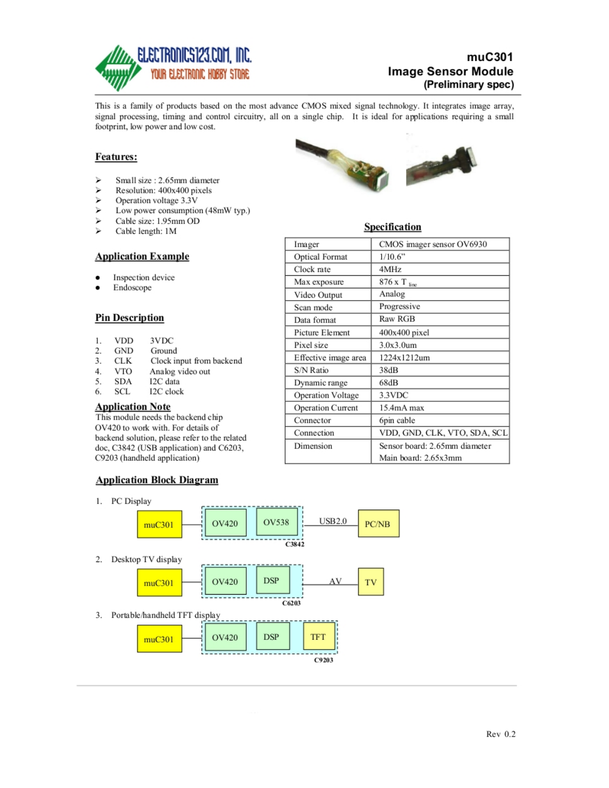

# $muC<sub>301</sub>$ **Image Sensor Module** (Preliminary spec)

This is a family of products based on the most advance CMOS mixed signal technology. It integrates image array, signal processing, timing and control circuitry, all on a single chip. It is ideal for applications requiring a small footprint, low power and low cost.

## Features:

- $\geq$ Small size: 2.65mm diameter
- $\mathbf{r}$ Resolution: 400x400 pixels
- $\triangleright$ Operation voltage 3.3V
- ⋗ Low power consumption (48mW typ.)
- $\triangleright$ Cable size: 1.95mm OD
- $\mathbf{r}$ Cable length: 1M

### **Application Example**

- Inspection device ٠
- Endoscope

## **Pin Description**

- 3VDC **VDD** 1.
- $2.$ **GND** Ground
- 3. **CLK** Clock input from backend
- $4.$ **VTO** Analog video out
- 5. **SDA** I2C data
- 6. **SCL** I2C clock

# **Application Note**

This module needs the backend chip OV420 to work with. For details of backend solution, please refer to the related doc, C3842 (USB application) and C6203, C9203 (handheld application)

### **Application Block Diagram**

1. PC Display





## Specification

| Imager                | CMOS imager sensor OV6930     |  |  |
|-----------------------|-------------------------------|--|--|
| <b>Optical Format</b> | 1/10.6"                       |  |  |
| Clock rate            | 4MHz                          |  |  |
| Max exposure          | 876 x T ine                   |  |  |
| Video Output          | Analog                        |  |  |
| Scan mode             | Progressive                   |  |  |
| Data format           | Raw RGB                       |  |  |
| Picture Element       | 400x400 pixel                 |  |  |
| Pixel size            | 3.0x3.0um                     |  |  |
| Effective image area  | 1224x1212um                   |  |  |
| S/N Ratio             | 38dB                          |  |  |
| Dynamic range         | 68dB                          |  |  |
| Operation Voltage     | 3.3VDC                        |  |  |
| Operation Current     | 15.4mA max                    |  |  |
| Connector             | 6pin cable                    |  |  |
| Connection            | VDD, GND, CLK, VTO, SDA, SCL  |  |  |
| Dimension             | Sensor board: 2.65mm diameter |  |  |
|                       | Main board: 2.65x3mm          |  |  |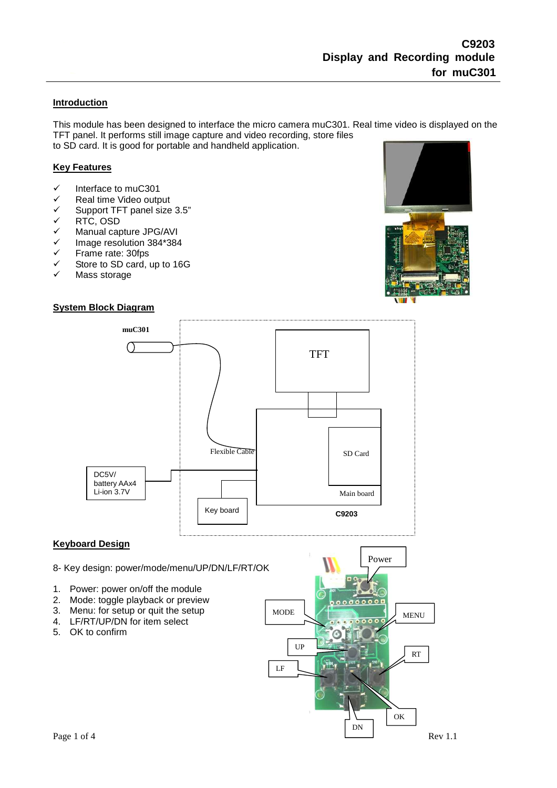### **Introduction**

This module has been designed to interface the micro camera muC301. Real time video is displayed on the TFT panel. It performs still image capture and video recording, store files to SD card. It is good for portable and handheld application.

### **Key Features**

- $\checkmark$  Interface to muC301
- $\checkmark$  Real time Video output
- $\checkmark$  Support TFT panel size 3.5"
- RTC, OSD
- Manual capture JPG/AVI
- $\checkmark$  Image resolution 384\*384
- $\checkmark$  Frame rate: 30fps
- Store to SD card, up to 16G
- Mass storage

### **System Block Diagram**





### **Keyboard Design**

8- Key design: power/mode/menu/UP/DN/LF/RT/OK

- 1. Power: power on/off the module
- 2. Mode: toggle playback or preview
- 3. Menu: for setup or quit the setup
- 4. LF/RT/UP/DN for item select
- 5. OK to confirm



Power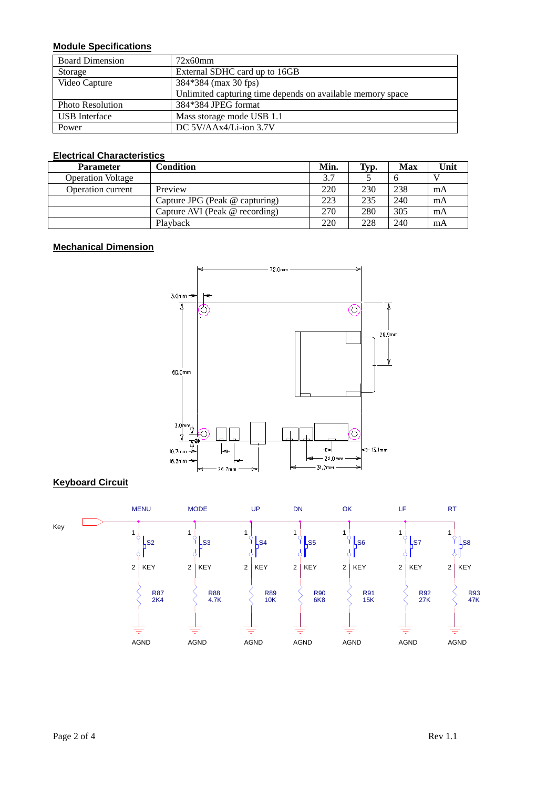# **Module Specifications**

| <b>Board Dimension</b>  | $72x60$ mm                                                 |  |
|-------------------------|------------------------------------------------------------|--|
| Storage                 | External SDHC card up to 16GB                              |  |
| Video Capture           | 384*384 (max 30 fps)                                       |  |
|                         | Unlimited capturing time depends on available memory space |  |
| <b>Photo Resolution</b> | 384*384 JPEG format                                        |  |
| <b>USB</b> Interface    | Mass storage mode USB 1.1                                  |  |
| Power                   | DC 5V/AAx4/Li-ion 3.7V                                     |  |

## **Electrical Characteristics**

| <b>Parameter</b>         | Condition                        | Min. | Typ. | Max | Unit |
|--------------------------|----------------------------------|------|------|-----|------|
| <b>Operation Voltage</b> |                                  | 3.7  |      |     |      |
| <b>Operation current</b> | Preview                          | 220  | 230  | 238 | mA   |
|                          | Capture JPG (Peak $@$ capturing) | 223  | 235  | 240 | mA   |
|                          | Capture AVI (Peak @ recording)   | 270  | 280  | 305 | mA   |
|                          | Playback                         | 220  | 228  | 240 | mA   |

# **Mechanical Dimension**



# **Keyboard Circuit**

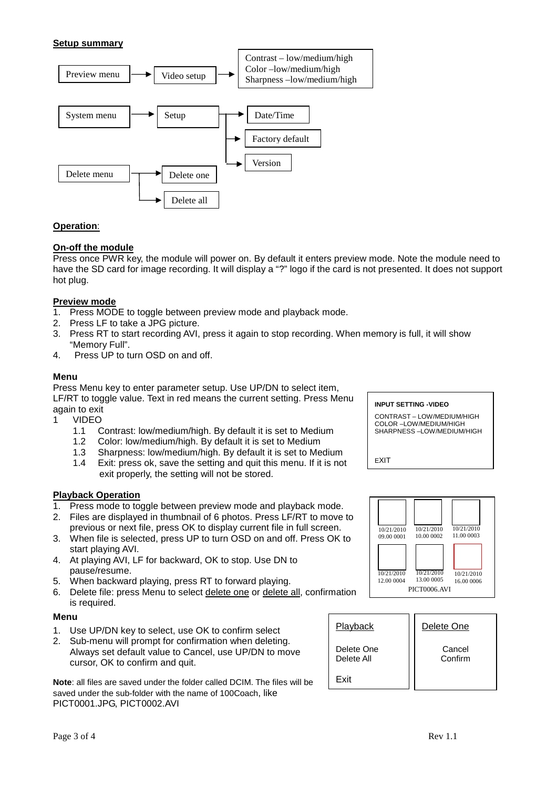### **Setup summary**



### **Operation**:

## **On-off the module**

Press once PWR key, the module will power on. By default it enters preview mode. Note the module need to have the SD card for image recording. It will display a "?" logo if the card is not presented. It does not support hot plug.

### **Preview mode**

- 1. Press MODE to toggle between preview mode and playback mode.
- 2. Press LF to take a JPG picture.
- 3. Press RT to start recording AVI, press it again to stop recording. When memory is full, it will show "Memory Full".
- 4 Press UP to turn OSD on and off

### **Menu**

Press Menu key to enter parameter setup. Use UP/DN to select item, LF/RT to toggle value. Text in red means the current setting. Press Menu again to exit

- **VIDEO** 
	- 1.1 Contrast: low/medium/high. By default it is set to Medium
	- 1.2 Color: low/medium/high. By default it is set to Medium
	- 1.3 Sharpness: low/medium/high. By default it is set to Medium
	- 1.4 Exit: press ok, save the setting and quit this menu. If it is not exit properly, the setting will not be stored.

### **Playback Operation**

- 1. Press mode to toggle between preview mode and playback mode.
- 2. Files are displayed in thumbnail of 6 photos. Press LF/RT to move to
- previous or next file, press OK to display current file in full screen. 3. When file is selected, press UP to turn OSD on and off. Press OK to start playing AVI.
- 4. At playing AVI, LF for backward, OK to stop. Use DN to pause/resume.
- 5. When backward playing, press RT to forward playing.
- 6. Delete file: press Menu to select delete one or delete all, confirmation is required.

### **Menu**

- 1. Use UP/DN key to select, use OK to confirm select
- 2. Sub-menu will prompt for confirmation when deleting. Always set default value to Cancel, use UP/DN to move cursor, OK to confirm and quit.

**Note**: all files are saved under the folder called DCIM. The files will be saved under the sub-folder with the name of 100Coach, like PICT0001.JPG, PICT0002.AVI

**INPUT SETTING -VIDEO** 

CONTRAST – LOW/MEDIUM/HIGH COLOR –LOW/MEDIUM/HIGH SHARPNESS –LOW/MEDIUM/HIGH

**EXIT**